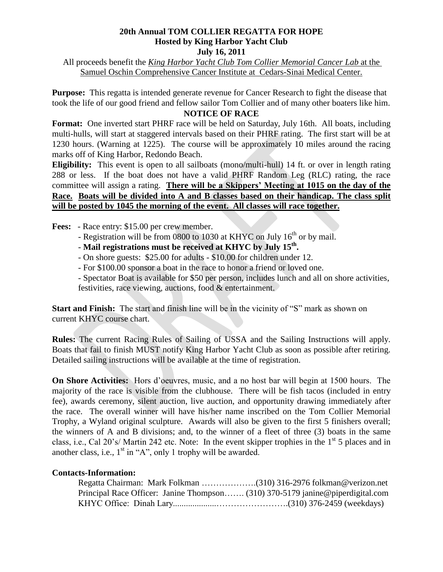## **20th Annual TOM COLLIER REGATTA FOR HOPE Hosted by King Harbor Yacht Club July 16, 2011**

All proceeds benefit the *King Harbor Yacht Club Tom Collier Memorial Cancer Lab* at the Samuel Oschin Comprehensive Cancer Institute at Cedars-Sinai Medical Center.

**Purpose:** This regatta is intended generate revenue for Cancer Research to fight the disease that took the life of our good friend and fellow sailor Tom Collier and of many other boaters like him.

## **NOTICE OF RACE**

**Format:** One inverted start PHRF race will be held on Saturday, July 16th. All boats, including multi-hulls, will start at staggered intervals based on their PHRF rating. The first start will be at 1230 hours. (Warning at 1225). The course will be approximately 10 miles around the racing marks off of King Harbor, Redondo Beach.

**Eligibility:** This event is open to all sailboats (mono/multi-hull) 14 ft. or over in length rating 288 or less. If the boat does not have a valid PHRF Random Leg (RLC) rating, the race committee will assign a rating. **There will be a Skippers' Meeting at 1015 on the day of the Race. Boats will be divided into A and B classes based on their handicap. The class split will be posted by 1045 the morning of the event. All classes will race together.**

**Fees:** - Race entry: \$15.00 per crew member.

- Registration will be from 0800 to 1030 at KHYC on July 16<sup>th</sup> or by mail.
- Mail registrations must be received at KHYC by July 15<sup>th</sup>.
	- On shore guests: \$25.00 for adults \$10.00 for children under 12.
	- For \$100.00 sponsor a boat in the race to honor a friend or loved one.

- Spectator Boat is available for \$50 per person, includes lunch and all on shore activities, festivities, race viewing, auctions, food & entertainment.

**Start and Finish:** The start and finish line will be in the vicinity of "S" mark as shown on current KHYC course chart.

**Rules:** The current Racing Rules of Sailing of USSA and the Sailing Instructions will apply. Boats that fail to finish MUST notify King Harbor Yacht Club as soon as possible after retiring. Detailed sailing instructions will be available at the time of registration.

**On Shore Activities:** Hors d'oeuvres, music, and a no host bar will begin at 1500 hours. The majority of the race is visible from the clubhouse. There will be fish tacos (included in entry fee), awards ceremony, silent auction, live auction, and opportunity drawing immediately after the race. The overall winner will have his/her name inscribed on the Tom Collier Memorial Trophy, a Wyland original sculpture. Awards will also be given to the first 5 finishers overall; the winners of A and B divisions; and, to the winner of a fleet of three (3) boats in the same class, i.e., Cal 20's/ Martin 242 etc. Note: In the event skipper trophies in the  $1<sup>st</sup> 5$  places and in another class, i.e.,  $1<sup>st</sup>$  in "A", only 1 trophy will be awarded.

## **Contacts-Information:**

| Principal Race Officer: Janine Thompson (310) 370-5179 janine@piperdigital.com |  |
|--------------------------------------------------------------------------------|--|
|                                                                                |  |